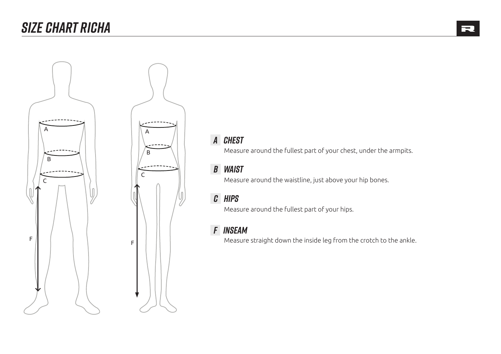# *SIZE CHART RICHA*





Measure around the fullest part of your chest, under the armpits.

### *b waist*

Measure around the waistline, just above your hip bones.

## *c hips*

Measure around the fullest part of your hips.

#### *f inseam*

Measure straight down the inside leg from the crotch to the ankle. <sup>F</sup> <sup>F</sup>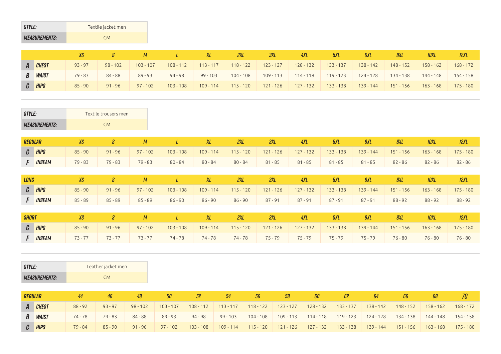| <b>STYLE:</b> |                      |                      | Textile jacket men |            |            |                                            |     |            |              |             |            |                                                                                                                                         |             |                |
|---------------|----------------------|----------------------|--------------------|------------|------------|--------------------------------------------|-----|------------|--------------|-------------|------------|-----------------------------------------------------------------------------------------------------------------------------------------|-------------|----------------|
|               | <b>MEASUREMENTS:</b> |                      | <b>CM</b>          |            |            |                                            |     |            |              |             |            |                                                                                                                                         |             |                |
|               |                      |                      |                    |            |            |                                            |     |            |              |             |            |                                                                                                                                         |             |                |
|               |                      | XS                   |                    |            |            | ΧL                                         | 2XL | <b>3XL</b> | <b>4XL</b>   | 5XL         | <b>GXL</b> | <b>8XL</b>                                                                                                                              | <b>IOXL</b> | 12XL           |
|               | $\sim$               | $\sim$ $\sim$ $\sim$ | $00$ $10$          | $\sqrt{2}$ | $\sqrt{2}$ | $1122$ $117$ $112$ $122$ $123$ $127$ $127$ |     |            | $\sqrt{200}$ | $\sqrt{22}$ |            | $\frac{1}{200}$ $\frac{1}{20}$ $\frac{1}{20}$ $\frac{1}{20}$ $\frac{1}{20}$ $\frac{1}{20}$ $\frac{1}{20}$ $\frac{1}{20}$ $\frac{1}{20}$ |             | $1.60 \pm 7.0$ |

| A | <b>CHEST</b>   | $93 - 97$ | $98 - 102$ | $103 - 107$ | $108 - 112$ | $113 - 117$ | $118 - 122$ | $123 - 127$ | $128 - 132$ | $133 - 137$ | $138 - 142$ | $148 - 152$ | $158 - 162$ | $168 - 172$ |
|---|----------------|-----------|------------|-------------|-------------|-------------|-------------|-------------|-------------|-------------|-------------|-------------|-------------|-------------|
|   | <b>B WAIST</b> | $79 - 83$ | $84 - 88$  | $89 - 93$   | $94 - 98$   | $99 - 103$  | $104 - 108$ | $109 - 113$ | $114 - 118$ | $119 - 123$ | $124 - 128$ | $134 - 138$ | $144 - 148$ | 154 - 158   |
|   | $C$ $HIPS$     | $85 - 90$ | $91 - 96$  | $97 - 102$  | $103 - 108$ | $109 - 114$ | $115 - 120$ | $121 - 126$ | $127 - 132$ | $133 - 138$ | $139 - 144$ | $151 - 156$ | $163 - 168$ | 175 - 180   |
|   |                |           |            |             |             |             |             |             |             |             |             |             |             |             |

| <b>STYLE:</b>  |                      |           | Textile trousers men |            |               |             |             |             |             |             |             |             |             |             |
|----------------|----------------------|-----------|----------------------|------------|---------------|-------------|-------------|-------------|-------------|-------------|-------------|-------------|-------------|-------------|
|                | <b>MEASUREMENTS:</b> |           | <b>CM</b>            |            |               |             |             |             |             |             |             |             |             |             |
|                |                      |           |                      |            |               |             |             |             |             |             |             |             |             |             |
| <b>REGULAR</b> |                      | XS        | S                    | M          | L             | XL          | 2XL         | 3XL         | 4XL         | 5XL         | <b>GXL</b>  | 8XL         | <b>IOXL</b> | 12XL        |
|                | $C$ $HIPS$           | $85 - 90$ | $91 - 96$            | $97 - 102$ | $103 - 108$   | $109 - 114$ | $115 - 120$ | $121 - 126$ | $127 - 132$ | $133 - 138$ | $139 - 144$ | $151 - 156$ | $163 - 168$ | $175 - 180$ |
|                | <b>F INSEAM</b>      | $79 - 83$ | $79 - 83$            | $79 - 83$  | $80 - 84$     | $80 - 84$   | $80 - 84$   | $81 - 85$   | $81 - 85$   | $81 - 85$   | $81 - 85$   | $82 - 86$   | $82 - 86$   | $82 - 86$   |
|                |                      |           |                      |            |               |             |             |             |             |             |             |             |             |             |
| <b>LONG</b>    |                      | XS        | S                    | M          | L             | XL          | 2XL         | 3XL         | 4XL         | 5XL         | <b>GXL</b>  | 8XL         | <b>IOXL</b> | 12XL        |
|                | $C$ $HIPS$           | $85 - 90$ | $91 - 96$            | $97 - 102$ | $103 - 108$   | $109 - 114$ | $115 - 120$ | $121 - 126$ | $127 - 132$ | $133 - 138$ | $139 - 144$ | $151 - 156$ | $163 - 168$ | $175 - 180$ |
|                | <b>F INSEAM</b>      | $85 - 89$ | $85 - 89$            | $85 - 89$  | $86 - 90$     | $86 - 90$   | $86 - 90$   | $87 - 91$   | $87 - 91$   | $87 - 91$   | $87 - 91$   | $88 - 92$   | $88 - 92$   | $88 - 92$   |
|                |                      |           |                      |            |               |             |             |             |             |             |             |             |             |             |
| <b>SHORT</b>   |                      | XS        | S                    | M          | $\mathcal{L}$ | XL          | 2XL         | 3XL         | 4XL         | 5XL         | <b>GXL</b>  | 8XL         | <b>IOXL</b> | 12XL        |
|                | $C$ $HIPS$           | $85 - 90$ | $91 - 96$            | $97 - 102$ | $103 - 108$   | $109 - 114$ | $115 - 120$ | $121 - 126$ | $127 - 132$ | $133 - 138$ | $139 - 144$ | $151 - 156$ | $163 - 168$ | $175 - 180$ |
|                | <b>F INSEAM</b>      | $73 - 77$ | $73 - 77$            | $73 - 77$  | $74 - 78$     | $74 - 78$   | $74 - 78$   | $75 - 79$   | $75 - 79$   | $75 - 79$   | $75 - 79$   | $76 - 80$   | 76 - 80     | $76 - 80$   |
|                |                      |           |                      |            |               |             |             |             |             |             |             |             |             |             |

| <i>STYLE:</i>        | Leather jacket men |
|----------------------|--------------------|
| <b>MEASUREMENTS:</b> | CM <sub></sub>     |

| REGULAR        |           | 46        | 48         | 50          | 52          | -54      | 56          | 58 | 60                                | 62 | 64          | 66.         | 68                    | 70 I |
|----------------|-----------|-----------|------------|-------------|-------------|----------|-------------|----|-----------------------------------|----|-------------|-------------|-----------------------|------|
| A CHEST        | $88 - 92$ | $93 - 97$ | $98 - 102$ | $103 - 107$ |             |          |             |    |                                   |    | $138 - 142$ | $148 - 152$ | $158 - 162$ 168 - 172 |      |
| <b>B WAIST</b> | 74 - 78   | $79 - 83$ | $84 - 88$  | $89 - 93$   | 94 - 98     | 99 - 103 | $104 - 108$ |    | 109 - 113   114 - 118   119 - 123 |    | $124 - 128$ | $134 - 138$ | $144 - 148$ 154 - 158 |      |
| C HIPS         | 79 - 84   | $85 - 90$ | $91 - 96$  | 97 - 102    | $103 - 108$ |          |             |    |                                   |    | $139 - 144$ | $151 - 156$ | $163 - 168$ 175 - 180 |      |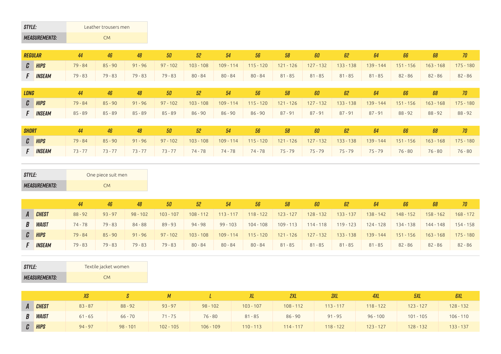| <b>STYLE:</b> |                      |           | Leather trousers men |           |            |             |             |             |             |             |             |             |             |             |             |
|---------------|----------------------|-----------|----------------------|-----------|------------|-------------|-------------|-------------|-------------|-------------|-------------|-------------|-------------|-------------|-------------|
|               | <b>MEASUREMENTS:</b> |           | <b>CM</b>            |           |            |             |             |             |             |             |             |             |             |             |             |
|               | <b>REGULAR</b>       | 44        | 46                   | 48        | 50         | 52          | 54          | 56          | 58          | 60          | 62          | 64          | 66          | 68          | 70          |
|               | $C$ $HIPS$           | $79 - 84$ | $85 - 90$            | $91 - 96$ | $97 - 102$ | $103 - 108$ | $109 - 114$ | $115 - 120$ | $121 - 126$ | $127 - 132$ | $133 - 138$ | $139 - 144$ | $151 - 156$ | $163 - 168$ | $175 - 180$ |
|               | <b>F INSEAM</b>      | $79 - 83$ | $79 - 83$            | $79 - 83$ | $79 - 83$  | $80 - 84$   | $80 - 84$   | $80 - 84$   | $81 - 85$   | $81 - 85$   | $81 - 85$   | $81 - 85$   | $82 - 86$   | $82 - 86$   | $82 - 86$   |
|               |                      |           |                      |           |            |             |             |             |             |             |             |             |             |             |             |
| LONG          |                      | 44        | 46                   | 48        | 50         | 52          | 54          | 56          | 58          | $60\,$      | 62          | 64          | 66          | 68          | 70          |
| $\mathcal{C}$ | <b>HIPS</b>          | $79 - 84$ | $85 - 90$            | $91 - 96$ | $97 - 102$ | $103 - 108$ | $109 - 114$ | $115 - 120$ | $121 - 126$ | $127 - 132$ | $133 - 138$ | $139 - 144$ | $151 - 156$ | $163 - 168$ | $175 - 180$ |
| $\mathsf{F}$  | <b>INSEAM</b>        | $85 - 89$ | $85 - 89$            | $85 - 89$ | $85 - 89$  | $86 - 90$   | $86 - 90$   | $86 - 90$   | $87 - 91$   | $87 - 91$   | $87 - 91$   | $87 - 91$   | $88 - 92$   | $88 - 92$   | $88 - 92$   |
|               |                      |           |                      |           |            |             |             |             |             |             |             |             |             |             |             |
| <b>SHORT</b>  |                      | 44        | 46                   | 48        | 50         | 52          | 54          | 56          | 58          | 60          | 62          | 64          | 66          | 68          | 70          |
|               | $C$ $HIPS$           | $79 - 84$ | $85 - 90$            | $91 - 96$ | $97 - 102$ | $103 - 108$ | $109 - 114$ | $115 - 120$ | $121 - 126$ | $127 - 132$ | $133 - 138$ | $139 - 144$ | $151 - 156$ | $163 - 168$ | $175 - 180$ |

*f Inseam* 73 - 77 73 - 77 73 - 77 73 - 77 74 - 78 74 - 78 74 - 78 75 - 79 75 - 79 75 - 79 75 - 79 76 - 80 76 - 80 76 - 80

| STYLE:               | One piece suit men |
|----------------------|--------------------|
| <b>MEASUREMENTS:</b> | CM <sub></sub>     |

|                | 44        | 46        | 48         | 50          | 52          | 54          | 56          | 58          | 60          | 62          | 64          | 66          | 68          | 70          |
|----------------|-----------|-----------|------------|-------------|-------------|-------------|-------------|-------------|-------------|-------------|-------------|-------------|-------------|-------------|
| A CHEST        | $88 - 92$ | $93 - 97$ | $98 - 102$ | $103 - 107$ | $108 - 112$ | $113 - 117$ | $118 - 122$ | $123 - 127$ | $128 - 132$ | $133 - 137$ | $138 - 142$ | $148 - 152$ | $158 - 162$ | $168 - 172$ |
| <b>B WAIST</b> | $74 - 78$ | $79 - 83$ | $84 - 88$  | $89 - 93$   | $94 - 98$   | $99 - 103$  | $104 - 108$ | $109 - 113$ | $114 - 118$ | $119 - 123$ | $124 - 128$ | 134 - 138   | 144 - 148   | 154 - 158   |
| C HIPS         | 79 - 84   | $85 - 90$ | $91 - 96$  | $97 - 102$  | $103 - 108$ | $109 - 114$ | $115 - 120$ | $121 - 126$ | $127 - 132$ | $133 - 138$ | $139 - 144$ | $151 - 156$ | $163 - 168$ | 175 - 180   |
| <b>INSEAM</b>  | $79 - 83$ | 79 - 83   | $79 - 83$  | $79 - 83$   | $80 - 84$   | $80 - 84$   | $80 - 84$   | $81 - 85$   | $81 - 85$   | $81 - 85$   | $81 - 85$   | $82 - 86$   | 82 - 86     | 82 - 86     |

| STYLE:               | Textile jacket women |
|----------------------|----------------------|
| <b>MEASUREMENTS:</b> | CM <sub></sub>       |

|              |                |           |            | М           |             |             | 2XL         | 3XL         | 4XL         | 5XL         | <i><b>GXL</b></i> |
|--------------|----------------|-----------|------------|-------------|-------------|-------------|-------------|-------------|-------------|-------------|-------------------|
| $\mathbf{A}$ | <b>CHEST</b>   | $83 - 87$ | $88 - 92$  | $93 - 97$   | $98 - 102$  | $103 - 107$ | $108 - 112$ | $113 - 117$ | $118 - 122$ | $123 - 127$ | $128 - 132$       |
|              | <b>B WAIST</b> | $61 - 65$ | $66 - 70$  | $71 - 75$   | $76 - 80$   | $81 - 85$   | $86 - 90$   | $91 - 95$   | $96 - 100$  | $101 - 105$ | $106 - 110$       |
|              | C HIPS         | $94 - 97$ | $98 - 101$ | $102 - 105$ | $106 - 109$ | $110 - 113$ | $114 - 117$ | $118 - 122$ | $123 - 127$ | $128 - 132$ | $133 - 137$       |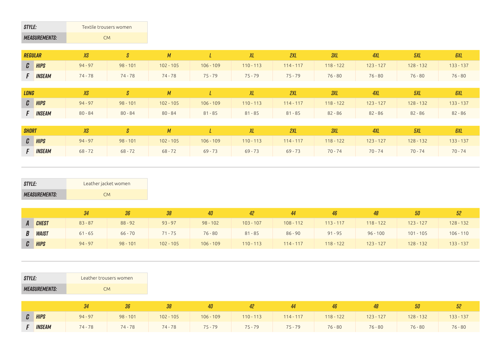| <b>STYLE:</b> |                      | Textile trousers women |            |                |             |              |             |                      |             |             |             |
|---------------|----------------------|------------------------|------------|----------------|-------------|--------------|-------------|----------------------|-------------|-------------|-------------|
|               | <b>MEASUREMENTS:</b> | <b>CM</b>              |            |                |             |              |             |                      |             |             |             |
| REGULAR       |                      | XS                     | S          | M              |             | XL           | 2XL         | <b>3XL</b>           | 4XL         | 5XL         | <b>GXL</b>  |
|               | $C$ $HIPS$           | $94 - 97$              | $98 - 101$ | $102 - 105$    | $106 - 109$ | $110 - 113$  | $114 - 117$ | $118 - 122$          | $123 - 127$ | $128 - 132$ | $133 - 137$ |
|               | F <b>INSEAM</b>      | 74 - 78                | 74 - 78    | 74 - 78        | 75 - 79     | 75 - 79      | 75 - 79     | $76 - 80$            | 76 - 80     | $76 - 80$   | $76 - 80$   |
| 1010          |                      | <b>VO</b>              | $\sqrt{a}$ | $\overline{M}$ |             | $\mathbf{v}$ | $\alpha$    | $\eta$ <sub>VI</sub> | AVI         | <b>EVI</b>  | $0$         |

| LONG |                 |           |            | XS S M L XL |             |                                                             | <b>EXECUTIVE STATE</b> | 3XL       | – 4XL     | 5XL       |             |
|------|-----------------|-----------|------------|-------------|-------------|-------------------------------------------------------------|------------------------|-----------|-----------|-----------|-------------|
|      | $C$ $HIPS$      | $94 - 97$ | $98 - 101$ | $102 - 105$ | $106 - 109$ | $110 - 113$ $114 - 117$ $118 - 122$ $123 - 127$ $128 - 132$ |                        |           |           |           | $133 - 137$ |
|      | <b>F INSEAM</b> | $80 - 84$ | $80 - 84$  | $80 - 84$   | $81 - 85$   |                                                             | 81-85 81-85            | $82 - 86$ | $82 - 86$ | $82 - 86$ | $82 - 86$   |
|      |                 |           |            |             |             |                                                             |                        |           |           |           |             |

| <b>SHORT</b> |                 |           |            |             |             |             | 2XL         | ЗXL         | 4XL         |             | <b>GXL</b>  |
|--------------|-----------------|-----------|------------|-------------|-------------|-------------|-------------|-------------|-------------|-------------|-------------|
|              | $C$ $HIPS$      | $94 - 97$ | $98 - 101$ | $102 - 105$ | $106 - 109$ | $110 - 113$ | $114 - 117$ | $118 - 122$ | $123 - 127$ | $128 - 132$ | $133 - 137$ |
|              | <b>F INSEAM</b> | $68 - 72$ | $68 - 72$  | $68 - 72$   | $69 - 73$   | $69 - 73$   | $69 - 73$   | $70 - 74$   | $70 - 74$   | $70 - 74$   | $70 - 74$   |

| STYLE:               | Leather jacket women |
|----------------------|----------------------|
| <b>MEASUREMENTS:</b> | CM <sub></sub>       |

|                | 34        | 36         | 38          | 40          | 42          | 44          | 46          | 48          | 50          | -52         |
|----------------|-----------|------------|-------------|-------------|-------------|-------------|-------------|-------------|-------------|-------------|
| A CHEST        | $83 - 87$ | $88 - 92$  | $93 - 97$   | $98 - 102$  | $103 - 107$ | $108 - 112$ | $113 - 117$ | $118 - 122$ | $123 - 127$ | $128 - 132$ |
| <b>B WAIST</b> | $61 - 65$ | $66 - 70$  | $71 - 75$   | $76 - 80$   | $81 - 85$   | $86 - 90$   | $91 - 95$   | $96 - 100$  | $101 - 105$ | $106 - 110$ |
| C HIPS         | $94 - 97$ | $98 - 101$ | $102 - 105$ | $106 - 109$ | $110 - 113$ | $114 - 117$ | $118 - 122$ | $123 - 127$ | $128 - 132$ | $133 - 137$ |

| <i>STYLE:</i>               | Leather trousers women |
|-----------------------------|------------------------|
| <i><b>MEASUREMENTS:</b></i> | CM <sub></sub>         |

|                 |           | 36         |             | 40          |             | 44          | 46          |             | 50          |             |
|-----------------|-----------|------------|-------------|-------------|-------------|-------------|-------------|-------------|-------------|-------------|
| <b>C</b> HIPS   | $94 - 97$ | $98 - 101$ | $102 - 105$ | $106 - 109$ | $110 - 113$ | $114 - 117$ | $118 - 122$ | $123 - 127$ | $128 - 132$ | $133 - 137$ |
| <b>F INSEAM</b> | 74 - 78   | $74 - 78$  | $74 - 78$   | 75 - 79     | $75 - 79$   | $75 - 79$   | $76 - 80$   | $76 - 80$   | $76 - 80$   | $76 - 80$   |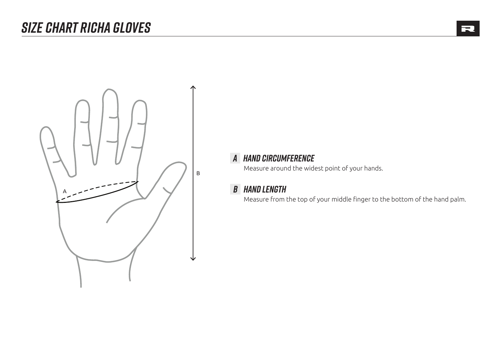

#### *A hand circumference*

Measure around the widest point of your hands.

#### *b hand length*

Measure from the top of your middle finger to the bottom of the hand palm.